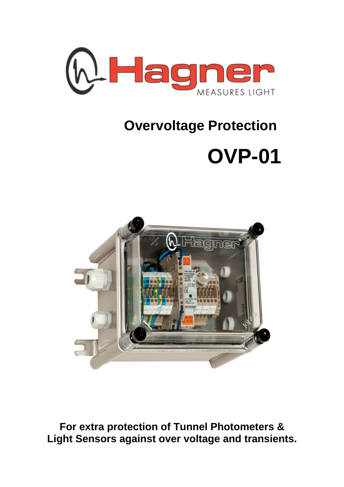

## **Overvoltage Protection**

## **OVP-01**



**For extra protection of Tunnel Photometers & Light Sensors against over voltage and transients.**